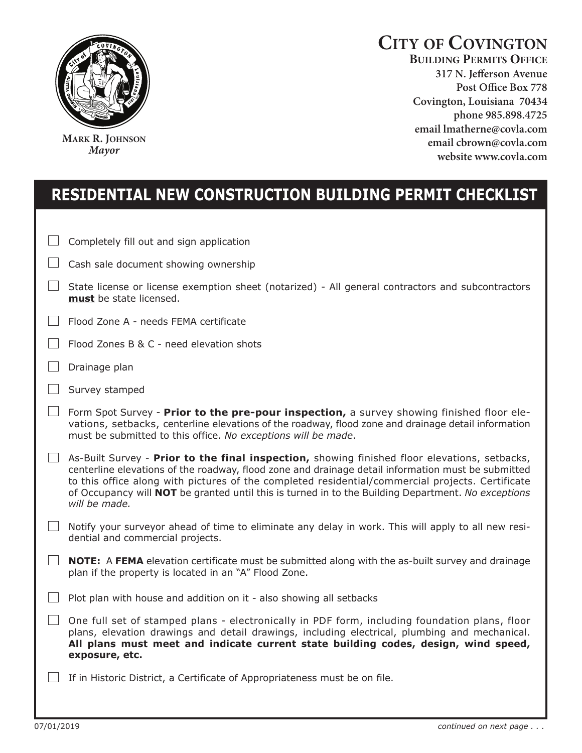

**MARK R. JOHNSON** *Mayor*

## **CITY OF COVINGTON**

**BUILDING PERMITS OFFICE 317 N. Jefferson Avenue**  Covington, Louisiana 70434 phone 985.898.4725 email lmatherne@covla.com email cbrown@covla.com website www.covla.com

## **rEsidENTiAl NEw cONsTrucTiON buildiNg PErMiT chEcklisT**

|              | Completely fill out and sign application                                                                                                                                                                                                                                                                                                                                                                                       |
|--------------|--------------------------------------------------------------------------------------------------------------------------------------------------------------------------------------------------------------------------------------------------------------------------------------------------------------------------------------------------------------------------------------------------------------------------------|
|              | Cash sale document showing ownership                                                                                                                                                                                                                                                                                                                                                                                           |
|              | State license or license exemption sheet (notarized) - All general contractors and subcontractors<br>must be state licensed.                                                                                                                                                                                                                                                                                                   |
|              | Flood Zone A - needs FEMA certificate                                                                                                                                                                                                                                                                                                                                                                                          |
|              | Flood Zones B & C - need elevation shots                                                                                                                                                                                                                                                                                                                                                                                       |
|              | Drainage plan                                                                                                                                                                                                                                                                                                                                                                                                                  |
|              | Survey stamped                                                                                                                                                                                                                                                                                                                                                                                                                 |
|              | Form Spot Survey - Prior to the pre-pour inspection, a survey showing finished floor ele-<br>vations, setbacks, centerline elevations of the roadway, flood zone and drainage detail information<br>must be submitted to this office. No exceptions will be made.                                                                                                                                                              |
| $\mathbb{R}$ | As-Built Survey - Prior to the final inspection, showing finished floor elevations, setbacks,<br>centerline elevations of the roadway, flood zone and drainage detail information must be submitted<br>to this office along with pictures of the completed residential/commercial projects. Certificate<br>of Occupancy will NOT be granted until this is turned in to the Building Department. No exceptions<br>will be made. |
| $\pm$        | Notify your surveyor ahead of time to eliminate any delay in work. This will apply to all new resi-<br>dential and commercial projects.                                                                                                                                                                                                                                                                                        |
|              | NOTE: A FEMA elevation certificate must be submitted along with the as-built survey and drainage<br>plan if the property is located in an "A" Flood Zone.                                                                                                                                                                                                                                                                      |
|              | Plot plan with house and addition on it - also showing all setbacks                                                                                                                                                                                                                                                                                                                                                            |
|              | One full set of stamped plans - electronically in PDF form, including foundation plans, floor<br>plans, elevation drawings and detail drawings, including electrical, plumbing and mechanical.<br>All plans must meet and indicate current state building codes, design, wind speed,<br>exposure, etc.                                                                                                                         |
|              | If in Historic District, a Certificate of Appropriateness must be on file.                                                                                                                                                                                                                                                                                                                                                     |